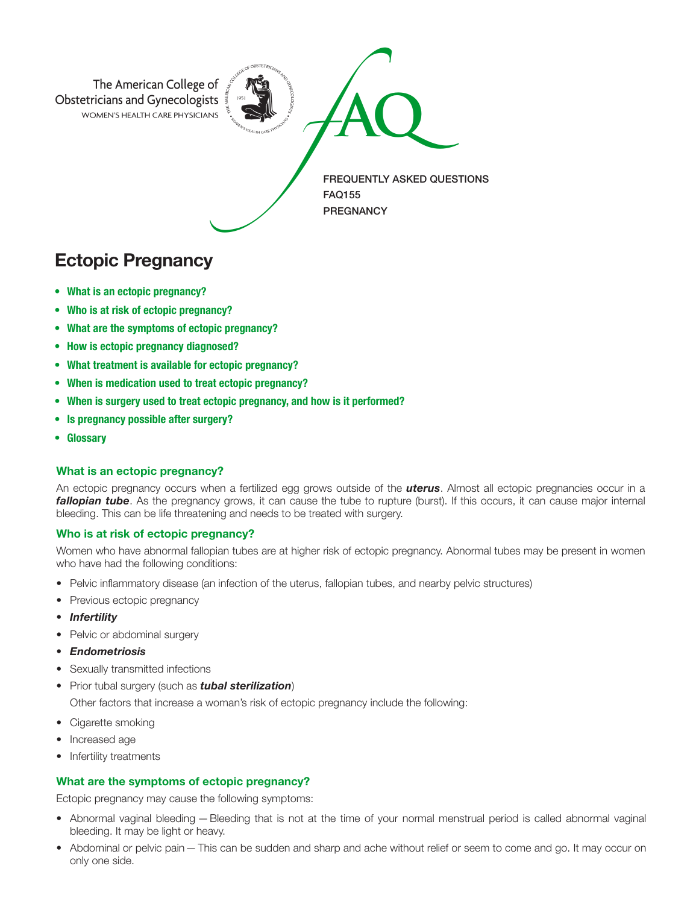

# Ectopic Pregnancy

- What is an ectopic pregnancy?
- Who is at risk of ectopic pregnancy?
- What are the symptoms of ectopic pregnancy?
- How is ectopic pregnancy diagnosed?
- What treatment is available for ectopic pregnancy?
- When is medication used to treat ectopic pregnancy?
- When is surgery used to treat ectopic pregnancy, and how is it performed?
- Is pregnancy possible after surgery?
- Glossary

#### What is an ectopic pregnancy?

An ectopic pregnancy occurs when a fertilized egg grows outside of the *uterus*. Almost all ectopic pregnancies occur in a *fallopian tube*. As the pregnancy grows, it can cause the tube to rupture (burst). If this occurs, it can cause major internal bleeding. This can be life threatening and needs to be treated with surgery.

### Who is at risk of ectopic pregnancy?

Women who have abnormal fallopian tubes are at higher risk of ectopic pregnancy. Abnormal tubes may be present in women who have had the following conditions:

- Pelvic inflammatory disease (an infection of the uterus, fallopian tubes, and nearby pelvic structures)
- Previous ectopic pregnancy
- *Infertility*
- Pelvic or abdominal surgery
- *Endometriosis*
- Sexually transmitted infections
- Prior tubal surgery (such as *tubal sterilization*)

Other factors that increase a woman's risk of ectopic pregnancy include the following:

- Cigarette smoking
- Increased age
- Infertility treatments

# What are the symptoms of ectopic pregnancy?

Ectopic pregnancy may cause the following symptoms:

- Abnormal vaginal bleeding —Bleeding that is not at the time of your normal menstrual period is called abnormal vaginal bleeding. It may be light or heavy.
- Abdominal or pelvic pain This can be sudden and sharp and ache without relief or seem to come and go. It may occur on only one side.